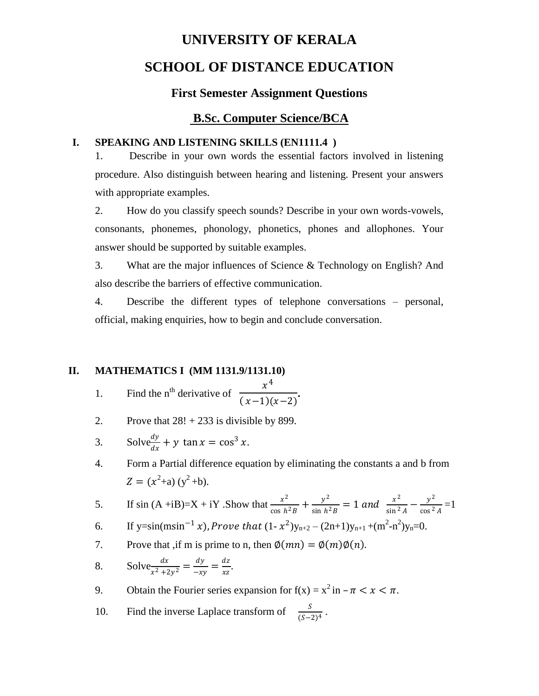# **UNIVERSITY OF KERALA SCHOOL OF DISTANCE EDUCATION**

# **First Semester Assignment Questions**

# **B.Sc. Computer Science/BCA**

#### **I. SPEAKING AND LISTENING SKILLS (EN1111.4 )**

1. Describe in your own words the essential factors involved in listening procedure. Also distinguish between hearing and listening. Present your answers with appropriate examples.

2. How do you classify speech sounds? Describe in your own words-vowels, consonants, phonemes, phonology, phonetics, phones and allophones. Your answer should be supported by suitable examples.

3. What are the major influences of Science & Technology on English? And also describe the barriers of effective communication.

4. Describe the different types of telephone conversations – personal, official, making enquiries, how to begin and conclude conversation.

#### **II. MATHEMATICS I (MM 1131.9/1131.10)**

- 1. Find the n<sup>th</sup> derivative of  $\frac{x^4}{(x-1)^2}$  $\frac{x}{(x-1)(x-2)}$ .
- 2. Prove that  $28! + 233$  is divisible by 899.
- 3. Solve $\frac{dy}{dx} + y \tan x = \cos^3 x$ .

4. Form a Partial difference equation by eliminating the constants a and b from  $Z = (x^2+a)(y^2+b).$ 

5. If  $\sin (A + iB) = X + iY$ . Show that  $\frac{x^2}{x^2}$  $\frac{x^2}{\cos h^2 B} + \frac{y^2}{\sin h^2}$  $\frac{y^2}{\sin h^2 B} = 1$  and  $\frac{x^2}{\sin^2 h}$  $\frac{x^2}{\sin^2 A} - \frac{y^2}{\cos^2 A}$  $\frac{y}{\cos^2 A} = 1$ 

6. If y=sin(msin<sup>-1</sup> x), Prove that  $(1 - x^2)y_{n+2} - (2n+1)y_{n+1} + (m^2 - n^2)y_n = 0$ .

- 7. Prove that ,if m is prime to n, then  $\phi(mn) = \phi(m)\phi(n)$ .
- 8. Solve  $\frac{dx}{x^2+2y^2} = \frac{dy}{-x^2}$  $\frac{dy}{-xy} = \frac{dz}{xz}$  $\frac{uz}{xz}$ .

9. Obtain the Fourier series expansion for  $f(x) = x^2$  in  $-\pi < x < \pi$ .

10. Find the inverse Laplace transform of  $\frac{S}{(S-2)^4}$ .